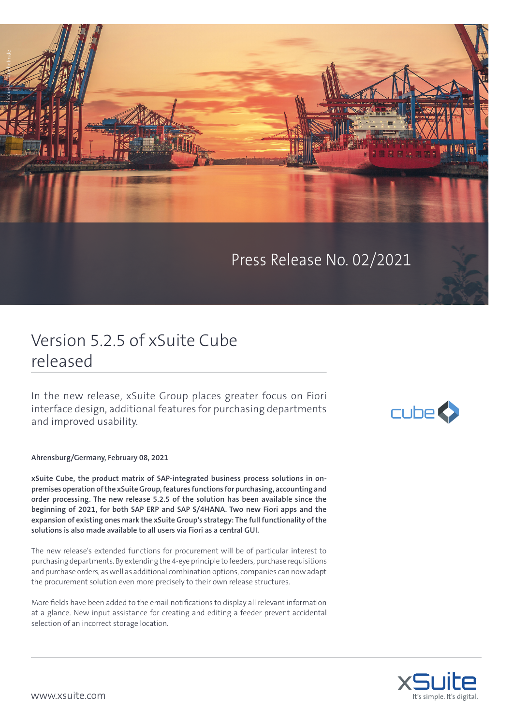

Press Release No. 02/2021

## Version 5.2.5 of xSuite Cube released

In the new release, xSuite Group places greater focus on Fiori interface design, additional features for purchasing departments and improved usability.

**Ahrensburg/Germany, February 08, 2021**

**xSuite Cube, the product matrix of SAP-integrated business process solutions in onpremises operation of the xSuite Group, features functions for purchasing, accounting and order processing. The new release 5.2.5 of the solution has been available since the beginning of 2021, for both SAP ERP and SAP S/4HANA. Two new Fiori apps and the expansion of existing ones mark the xSuite Group's strategy: The full functionality of the solutions is also made available to all users via Fiori as a central GUI.**

The new release's extended functions for procurement will be of particular interest to purchasing departments. By extending the 4-eye principle to feeders, purchase requisitions and purchase orders, as well as additional combination options, companies can now adapt the procurement solution even more precisely to their own release structures.

More fields have been added to the email notifications to display all relevant information at a glance. New input assistance for creating and editing a feeder prevent accidental selection of an incorrect storage location.